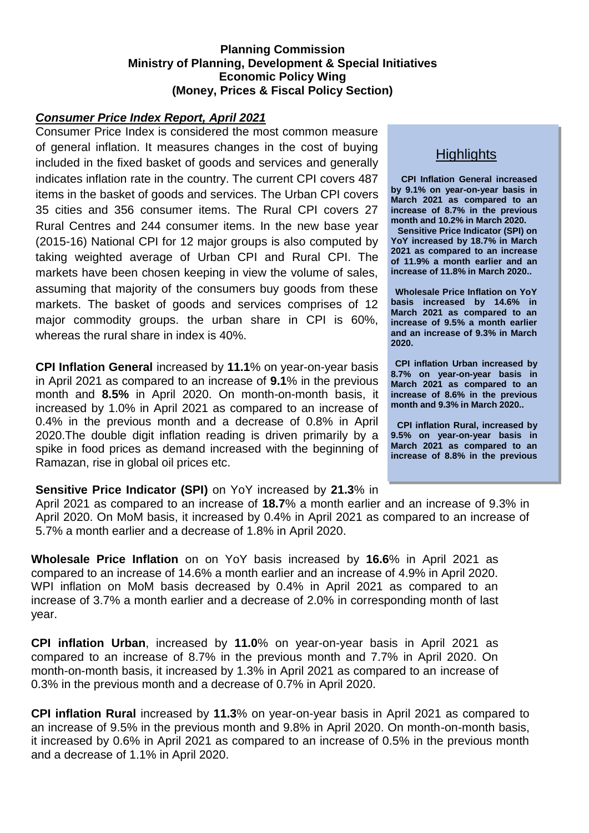#### **Planning Commission Ministry of Planning, Development & Special Initiatives Economic Policy Wing (Money, Prices & Fiscal Policy Section)**

#### *Consumer Price Index Report, April 2021*

Consumer Price Index is considered the most common measure of general inflation. It measures changes in the cost of buying included in the fixed basket of goods and services and generally indicates inflation rate in the country. The current CPI covers 487 items in the basket of goods and services. The Urban CPI covers 35 cities and 356 consumer items. The Rural CPI covers 27 Rural Centres and 244 consumer items. In the new base year (2015-16) National CPI for 12 major groups is also computed by taking weighted average of Urban CPI and Rural CPI. The markets have been chosen keeping in view the volume of sales, assuming that majority of the consumers buy goods from these markets. The basket of goods and services comprises of 12 major commodity groups. the urban share in CPI is 60%, whereas the rural share in index is 40%.

**CPI Inflation General** increased by **11.1**% on year-on-year basis in April 2021 as compared to an increase of **9.1**% in the previous month and **8.5%** in April 2020. On month-on-month basis, it increased by 1.0% in April 2021 as compared to an increase of 0.4% in the previous month and a decrease of 0.8% in April 2020.The double digit inflation reading is driven primarily by a spike in food prices as demand increased with the beginning of Ramazan, rise in global oil prices etc.

# **Highlights**

**CPI Inflation General increased by 9.1% on year-on-year basis in March 2021 as compared to an increase of 8.7% in the previous month and 10.2% in March 2020.** 

**Sensitive Price Indicator (SPI) on YoY increased by 18.7% in March 2021 as compared to an increase of 11.9% a month earlier and an increase of 11.8% in March 2020..**

**Wholesale Price Inflation on YoY basis increased by 14.6% in March 2021 as compared to an increase of 9.5% a month earlier and an increase of 9.3% in March 2020.**

**CPI inflation Urban increased by 8.7% on year-on-year basis in March 2021 as compared to an increase of 8.6% in the previous month and 9.3% in March 2020..**

**CPI inflation Rural, increased by 9.5% on year-on-year basis in March 2021 as compared to an increase of 8.8% in the previous** 

### **Sensitive Price Indicator (SPI)** on YoY increased by **21.3**% in

April 2021 as compared to an increase of **18.7**% a month earlier and an increase of 9.3% in April 2020. On MoM basis, it increased by 0.4% in April 2021 as compared to an increase of 5.7% a month earlier and a decrease of 1.8% in April 2020.

**Wholesale Price Inflation** on on YoY basis increased by **16.6**% in April 2021 as compared to an increase of 14.6% a month earlier and an increase of 4.9% in April 2020. WPI inflation on MoM basis decreased by 0.4% in April 2021 as compared to an increase of 3.7% a month earlier and a decrease of 2.0% in corresponding month of last year.

**CPI inflation Urban**, increased by **11.0**% on year-on-year basis in April 2021 as compared to an increase of 8.7% in the previous month and 7.7% in April 2020. On month-on-month basis, it increased by 1.3% in April 2021 as compared to an increase of 0.3% in the previous month and a decrease of 0.7% in April 2020.

**CPI inflation Rural** increased by **11.3**% on year-on-year basis in April 2021 as compared to an increase of 9.5% in the previous month and 9.8% in April 2020. On month-on-month basis, it increased by 0.6% in April 2021 as compared to an increase of 0.5% in the previous month and a decrease of 1.1% in April 2020.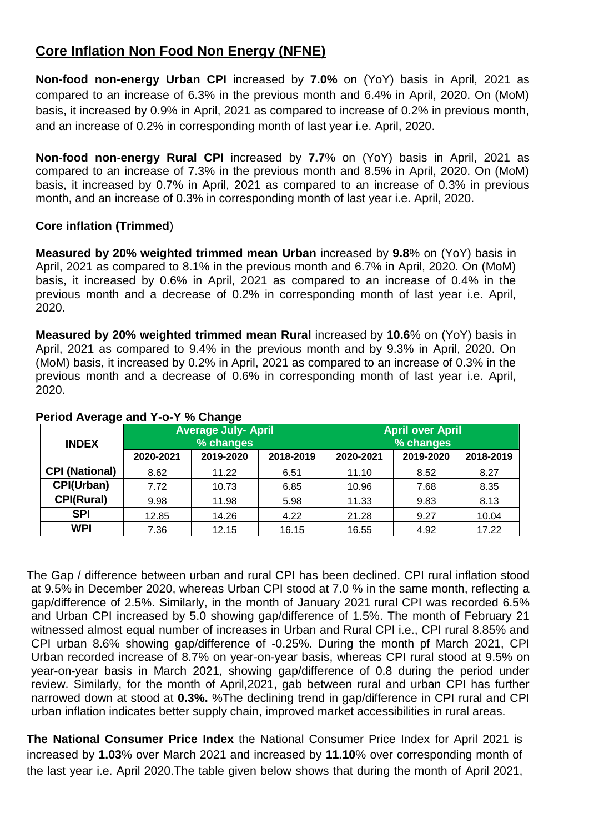# **Core Inflation Non Food Non Energy (NFNE)**

**Non-food non-energy Urban CPI** increased by **7.0%** on (YoY) basis in April, 2021 as compared to an increase of 6.3% in the previous month and 6.4% in April, 2020. On (MoM) basis, it increased by 0.9% in April, 2021 as compared to increase of 0.2% in previous month, and an increase of 0.2% in corresponding month of last year i.e. April, 2020.

**Non-food non-energy Rural CPI** increased by **7.7**% on (YoY) basis in April, 2021 as compared to an increase of 7.3% in the previous month and 8.5% in April, 2020. On (MoM) basis, it increased by 0.7% in April, 2021 as compared to an increase of 0.3% in previous month, and an increase of 0.3% in corresponding month of last year i.e. April, 2020.

## **Core inflation (Trimmed**)

**Measured by 20% weighted trimmed mean Urban** increased by **9.8**% on (YoY) basis in April, 2021 as compared to 8.1% in the previous month and 6.7% in April, 2020. On (MoM) basis, it increased by 0.6% in April, 2021 as compared to an increase of 0.4% in the previous month and a decrease of 0.2% in corresponding month of last year i.e. April, 2020.

**Measured by 20% weighted trimmed mean Rural** increased by **10.6**% on (YoY) basis in April, 2021 as compared to 9.4% in the previous month and by 9.3% in April, 2020. On (MoM) basis, it increased by 0.2% in April, 2021 as compared to an increase of 0.3% in the previous month and a decrease of 0.6% in corresponding month of last year i.e. April, 2020.

| <b>INDEX</b>          |           | <b>Average July- April</b><br>% changes |           | <b>April over April</b><br>% changes |           |           |  |  |  |
|-----------------------|-----------|-----------------------------------------|-----------|--------------------------------------|-----------|-----------|--|--|--|
|                       | 2020-2021 | 2019-2020                               | 2018-2019 | 2020-2021                            | 2019-2020 | 2018-2019 |  |  |  |
| <b>CPI (National)</b> | 8.62      | 11.22                                   | 6.51      | 11.10                                | 8.52      | 8.27      |  |  |  |
| CPI(Urban)            | 7.72      | 10.73                                   | 6.85      | 10.96                                | 7.68      | 8.35      |  |  |  |
| <b>CPI(Rural)</b>     | 9.98      | 11.98                                   | 5.98      | 11.33                                | 9.83      | 8.13      |  |  |  |
| <b>SPI</b>            | 12.85     | 14.26                                   | 4.22      | 21.28                                | 9.27      | 10.04     |  |  |  |
| <b>WPI</b>            | 7.36      | 12.15                                   | 16.15     | 16.55                                | 4.92      | 17.22     |  |  |  |

# **Period Average and Y-o-Y % Change**

The Gap / difference between urban and rural CPI has been declined. CPI rural inflation stood at 9.5% in December 2020, whereas Urban CPI stood at 7.0 % in the same month, reflecting a gap/difference of 2.5%. Similarly, in the month of January 2021 rural CPI was recorded 6.5% and Urban CPI increased by 5.0 showing gap/difference of 1.5%. The month of February 21 witnessed almost equal number of increases in Urban and Rural CPI i.e., CPI rural 8.85% and CPI urban 8.6% showing gap/difference of -0.25%. During the month pf March 2021, CPI Urban recorded increase of 8.7% on year-on-year basis, whereas CPI rural stood at 9.5% on year-on-year basis in March 2021, showing gap/difference of 0.8 during the period under review. Similarly, for the month of April,2021, gab between rural and urban CPI has further narrowed down at stood at **0.3%.** %The declining trend in gap/difference in CPI rural and CPI urban inflation indicates better supply chain, improved market accessibilities in rural areas.

**The National Consumer Price Index** the National Consumer Price Index for April 2021 is increased by **1.03**% over March 2021 and increased by **11.10**% over corresponding month of the last year i.e. April 2020.The table given below shows that during the month of April 2021,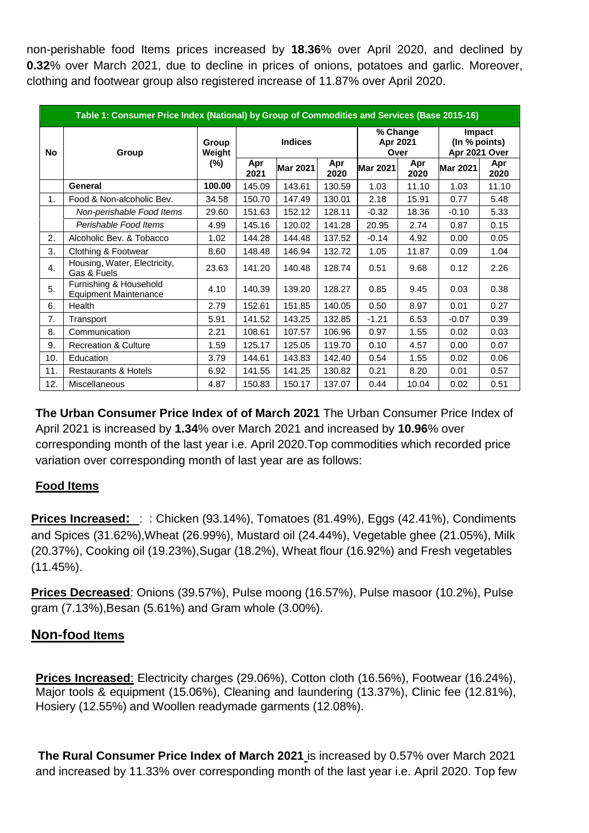non-perishable food Items prices increased by **18.36**% over April 2020, and declined by **0.32**% over March 2021, due to decline in prices of onions, potatoes and garlic. Moreover, clothing and footwear group also registered increase of 11.87% over April 2020.

|                | Table 1: Consumer Price Index (National) by Group of Commodities and Services (Base 2015-16) |                 |                |                 |             |                              |             |                                          |             |  |  |  |
|----------------|----------------------------------------------------------------------------------------------|-----------------|----------------|-----------------|-------------|------------------------------|-------------|------------------------------------------|-------------|--|--|--|
| <b>No</b>      | Group                                                                                        | Group<br>Weight | <b>Indices</b> |                 |             | % Change<br>Apr 2021<br>Over |             | Impact<br>(In % points)<br>Apr 2021 Over |             |  |  |  |
|                |                                                                                              | $(\%)$          | Apr<br>2021    | <b>Mar 2021</b> | Apr<br>2020 | <b>Mar 2021</b>              | Apr<br>2020 | <b>Mar 2021</b>                          | Apr<br>2020 |  |  |  |
|                | General                                                                                      | 100.00          | 145.09         | 143.61          | 130.59      | 1.03                         | 11.10       | 1.03                                     | 11.10       |  |  |  |
| 1.             | Food & Non-alcoholic Bev.                                                                    | 34.58           | 150.70         | 147.49          | 130.01      | 2.18                         | 15.91       | 0.77                                     | 5.48        |  |  |  |
|                | Non-perishable Food Items                                                                    | 29.60           | 151.63         | 152.12          | 128.11      | $-0.32$                      | 18.36       | $-0.10$                                  | 5.33        |  |  |  |
|                | Perishable Food Items                                                                        | 4.99            | 145.16         | 120.02          | 141.28      | 20.95                        | 2.74        | 0.87                                     | 0.15        |  |  |  |
| 2.             | Alcoholic Bev. & Tobacco                                                                     | 1.02            | 144.28         | 144.48          | 137.52      | $-0.14$                      | 4.92        | 0.00                                     | 0.05        |  |  |  |
| 3.             | Clothing & Footwear                                                                          | 8.60            | 148.48         | 146.94          | 132.72      | 1.05                         | 11.87       | 0.09                                     | 1.04        |  |  |  |
| $\mathbf{4}$ . | Housing, Water, Electricity,<br>Gas & Fuels                                                  | 23.63           | 141.20         | 140.48          | 128.74      | 0.51                         | 9.68        | 0.12                                     | 2.26        |  |  |  |
| 5.             | Furnishing & Household<br><b>Equipment Maintenance</b>                                       | 4.10            | 140.39         | 139.20          | 128.27      | 0.85                         | 9.45        | 0.03                                     | 0.38        |  |  |  |
| 6.             | Health                                                                                       | 2.79            | 152.61         | 151.85          | 140.05      | 0.50                         | 8.97        | 0.01                                     | 0.27        |  |  |  |
| 7.             | Transport                                                                                    | 5.91            | 141.52         | 143.25          | 132.85      | $-1.21$                      | 6.53        | $-0.07$                                  | 0.39        |  |  |  |
| 8.             | Communication                                                                                | 2.21            | 108.61         | 107.57          | 106.96      | 0.97                         | 1.55        | 0.02                                     | 0.03        |  |  |  |
| 9.             | <b>Recreation &amp; Culture</b>                                                              | 1.59            | 125.17         | 125.05          | 119.70      | 0.10                         | 4.57        | 0.00                                     | 0.07        |  |  |  |
| 10.            | Education                                                                                    | 3.79            | 144.61         | 143.83          | 142.40      | 0.54                         | 1.55        | 0.02                                     | 0.06        |  |  |  |
| 11.            | <b>Restaurants &amp; Hotels</b>                                                              | 6.92            | 141.55         | 141.25          | 130.82      | 0.21                         | 8.20        | 0.01                                     | 0.57        |  |  |  |
| 12.            | <b>Miscellaneous</b>                                                                         | 4.87            | 150.83         | 150.17          | 137.07      | 0.44                         | 10.04       | 0.02                                     | 0.51        |  |  |  |

**The Urban Consumer Price Index of of March 2021** The Urban Consumer Price Index of April 2021 is increased by **1.34**% over March 2021 and increased by **10.96**% over corresponding month of the last year i.e. April 2020.Top commodities which recorded price variation over corresponding month of last year are as follows:

# **Food Items**

**Prices Increased:** : : Chicken (93.14%), Tomatoes (81.49%), Eggs (42.41%), Condiments and Spices (31.62%),Wheat (26.99%), Mustard oil (24.44%), Vegetable ghee (21.05%), Milk (20.37%), Cooking oil (19.23%),Sugar (18.2%), Wheat flour (16.92%) and Fresh vegetables (11.45%).

**Prices Decreased**: Onions (39.57%), Pulse moong (16.57%), Pulse masoor (10.2%), Pulse gram (7.13%),Besan (5.61%) and Gram whole (3.00%).

#### **Non-food Items**

**Prices Increased**: Electricity charges (29.06%), Cotton cloth (16.56%), Footwear (16.24%), Major tools & equipment (15.06%), Cleaning and laundering (13.37%), Clinic fee (12.81%), Hosiery (12.55%) and Woollen readymade garments (12.08%).

**The Rural Consumer Price Index of March 2021** is increased by 0.57% over March 2021 and increased by 11.33% over corresponding month of the last year i.e. April 2020. Top few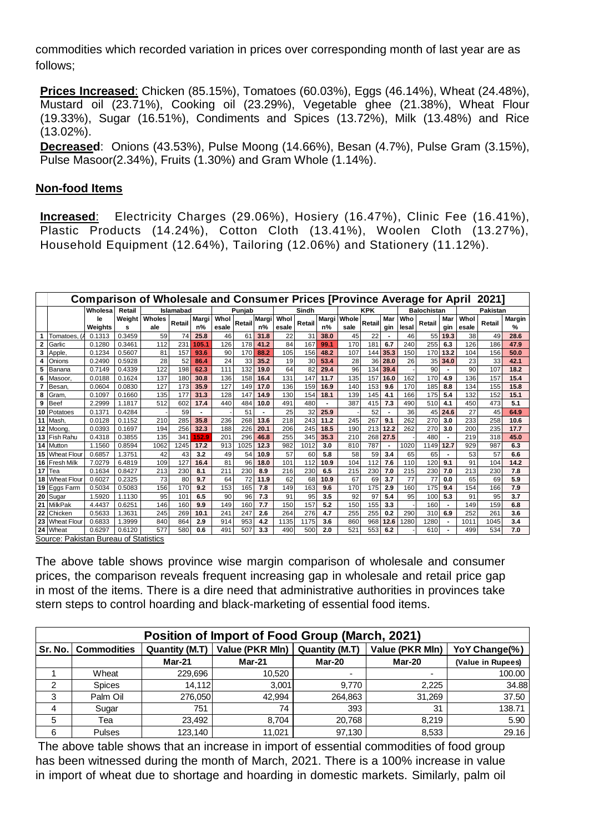commodities which recorded variation in prices over corresponding month of last year are as follows;

**Prices Increased**: Chicken (85.15%), Tomatoes (60.03%), Eggs (46.14%), Wheat (24.48%), Mustard oil (23.71%), Cooking oil (23.29%), Vegetable ghee (21.38%), Wheat Flour (19.33%), Sugar (16.51%), Condiments and Spices (13.72%), Milk (13.48%) and Rice (13.02%).

**Decreased**: Onions (43.53%), Pulse Moong (14.66%), Besan (4.7%), Pulse Gram (3.15%), Pulse Masoor(2.34%), Fruits (1.30%) and Gram Whole (1.14%).

#### **Non-food Items**

**Increased**: Electricity Charges (29.06%), Hosiery (16.47%), Clinic Fee (16.41%), Plastic Products (14.24%), Cotton Cloth (13.41%), Woolen Cloth (13.27%), Household Equipment (12.64%), Tailoring (12.06%) and Stationery (11.12%).

|    | <b>Comparison of Wholesale and Consumer Prices [Province Average for April</b><br>20211 |         |                 |        |                  |                |       |        |       |       |        |       |       |            |                          |       |                    |                |       |          |        |
|----|-----------------------------------------------------------------------------------------|---------|-----------------|--------|------------------|----------------|-------|--------|-------|-------|--------|-------|-------|------------|--------------------------|-------|--------------------|----------------|-------|----------|--------|
|    |                                                                                         | Wholesa | Retail          |        | <b>Islamabad</b> |                |       | Punjab |       |       | Sindh  |       |       | <b>KPK</b> |                          |       | <b>Balochistan</b> |                |       | Pakistan |        |
|    |                                                                                         | le      | Weight          | Wholes | <b>Retail</b>    | Margi          | Whol  | Retail | Margi | Whol  | Retail | Margi | Whole | Retail     | Mar                      | Who   | Retail             | Mar            | Whol  | Retail   | Margin |
|    |                                                                                         | Weights | s               | ale    |                  | $n\%$          | esale |        | n%    | esale |        | n%    | sale  |            | gin                      | lesal |                    | gin            | esale |          | %      |
|    | Tomatoes.                                                                               | 0.1313  | 0.3459          | 59     | 74               | 25.8           | 46    | 61     | 31.8  | 22    | 31     | 38.0  | 45    | 22         | $\overline{\phantom{a}}$ | 46    | 55                 | 19.3           | 38    | 49       | 28.6   |
| 2  | Garlic                                                                                  | 0.1280  | 0.3461          | 112    | 231              | 105.1          | 126   | 178    | 41.2  | 84    | 167    | 99.1  | 170   | 181        | 6.7                      | 240   | 255                | 6.3            | 126   | 186      | 47.9   |
| 3  | Apple.                                                                                  | 0.1234  | 0.5607          | 81     | 157              | 93.6           | 90    | 170    | 88.2  | 105   | 156    | 48.2  | 107   | 144        | 35.3                     | 150   | 170                | 13.2           | 104   | 156      | 50.0   |
|    | Onions                                                                                  | 0.2490  | 0.5928          | 28     | 52               | 86.4           | 24    | 33     | 35.2  | 19    | 30     | 53.4  | 28    | 36         | 28.0                     | 26    | 35                 | 34.0           | 23    | 33       | 42.1   |
| 5  | Banana                                                                                  | 0.7149  | 0.4339          | 122    | 198              | 62.3           | 111   | 132    | 19.0  | 64    | 82     | 29.4  | 96    | 134        | 39.4                     |       | 90                 | $\blacksquare$ | 90    | 107      | 18.2   |
| 6  | Masoor,                                                                                 | 0.0188  | 0.1624          | 137    | 180              | 30.8           | 136   | 158    | 16.4  | 131   | 147    | 11.7  | 135   | 157        | 16.0                     | 162   | 170                | 4.9            | 136   | 157      | 15.4   |
|    | Besan,                                                                                  | 0.0604  | 0.0830          | 127    | 173              | 35.9           | 127   | 149    | 17.0  | 136   | 159    | 16.9  | 140   | 153        | 9.6                      | 170   | 185                | 8.8            | 134   | 155      | 15.8   |
| 8  | Gram,                                                                                   | 0.1097  | 0.1660          | 135    | 177              | 31.3           | 128   | 147    | 14.9  | 130   | 154    | 18.1  | 139   | 145        | 4.1                      | 166   | 175                | 5.4            | 132   | 152      | 15.1   |
| 9  | <b>Beef</b>                                                                             | 2.2999  | 1.1817          | 512    | 602              | 17.4           | 440   | 484    | 10.0  | 491   | 480    |       | 387   | 415        | 7.3                      | 490   | 510                | 4.1            | 450   | 473      | 5.1    |
| 10 | Potatoes                                                                                | 0.137   | 0.4284          |        | 59               | $\blacksquare$ |       | 51     |       | 25    | 32     | 25.9  |       | 52         |                          | 36    | 45                 | 24.6           | 27    | 45       | 64.9   |
| 11 | Mash                                                                                    | 0.0128  | 0.1152          | 210    | 285              | 35.8           | 236   | 268    | 13.6  | 218   | 243    | 11.2  | 245   | 267        | 9.1                      | 262   | 270                | 3.0            | 233   | 258      | 10.6   |
| 12 | Moona                                                                                   | 0.0393  | 0.1697          | 194    | 256              | 32.3           | 188   | 226    | 20.1  | 206   | 245    | 18.5  | 190   | 213        | 12.2                     | 262   | 270                | 3.0            | 200   | 235      | 17.7   |
| 13 | Fish Rahu                                                                               | 0.4318  | 0.3855          | 135    | 341              | 152.9          | 201   | 296    | 46.8  | 255   | 345    | 35.3  | 210   | 268        | 27.5                     |       | 480                |                | 219   | 318      | 45.0   |
| 14 | <b>Mutton</b>                                                                           | 1.1560  | 0.8594          | 1062   | 1245             | 17.2           | 913   | 1025   | 12.3  | 982   | 1012   | 3.0   | 810   | 787        | $\blacksquare$           | 1020  | 1149               | 12.7           | 929   | 987      | 6.3    |
| 15 | <b>Wheat Flour</b>                                                                      | 0.6857  | 1.3751          | 42     | 43               | 3.2            | 49    | 54     | 10.9  | 57    | 60     | 5.8   | 58    | 59         | 3.4                      | 65    | 65                 |                | 53    | 57       | 6.6    |
| 16 | <b>Fresh Milk</b>                                                                       | 7.0279  | 6.4819          | 109    | 127              | 16.4           | 81    | 96     | 18.0  | 101   | 112    | 10.9  | 104   | 112        | 7.6                      | 110   | 120                | 9.1            | 91    | 104      | 14.2   |
| 17 | Tea                                                                                     | 0.1634  | 0.8427          | 213    | 230              | 8.1            | 211   | 230    | 8.9   | 216   | 230    | 6.5   | 215   | 230        | 7.0                      | 215   | 230                | 7.0            | 213   | 230      | 7.8    |
| 18 | <b>Wheat Flour</b>                                                                      | 0.6027  | 0.2325          | 73     | 80               | 9.7            | 64    | 72     | 11.9  | 62    | 68     | 10.9  | 67    | 69         | 3.7                      | 77    | 77                 | 0.0            | 65    | 69       | 5.9    |
| 19 | Eggs Farm                                                                               | 0.5034  | 0.5083          | 156    | 170              | 9.2            | 153   | 165    | 7.8   | 149   | 163    | 9.6   | 170   | 175        | 2.9                      | 160   | 175                | 9.4            | 154   | 166      | 7.9    |
| 20 | Sugar                                                                                   | 1.5920  | 1.1130          | 95     | 10 <sup>1</sup>  | 6.5            | 90    | 96     | 7.3   | 91    | 95     | 3.5   | 92    | 97         | 5.4                      | 95    | 100                | 5.3            | 91    | 95       | 3.7    |
| 21 | <b>MilkPak</b>                                                                          | 4.4437  | $0.625^{\circ}$ | 146    | 160              | 9.9            | 149   | 160    | 7.7   | 150   | 157    | 5.2   | 150   | 155        | 3.3                      |       | 160                | $\blacksquare$ | 149   | 159      | 6.8    |
| 22 | Chicken                                                                                 | 0.5633  | .3631           | 245    | 269              | 10.1           | 241   | 247    | 2.6   | 264   | 276    | 4.7   | 255   | 255        | 0.2                      | 290   | 310                | 6.9            | 252   | 261      | 3.6    |
| 23 | <b>Wheat Flour</b>                                                                      | 0.6833  | 1.3999          | 840    | 864              | 2.9            | 914   | 953    | 4.2   | 1135  | 1175   | 3.6   | 860   | 968        | 12.6                     | 1280  | 1280               | $\blacksquare$ | 1011  | 1045     | 3.4    |
|    | 24 Wheat                                                                                | 0.6297  | 0.6120          | 577    | 580              | 0.6            | 491   | 507    | 3.3   | 490   | 500    | 2.0   | 521   | 553        | 6.2                      |       | 610                |                | 499   | 534      | 7.0    |

Source: Pakistan Bureau of Statistics

The above table shows province wise margin comparison of wholesale and consumer prices, the comparison reveals frequent increasing gap in wholesale and retail price gap in most of the items. There is a dire need that administrative authorities in provinces take stern steps to control hoarding and black-marketing of essential food items.

| Position of Import of Food Group (March, 2021) |                    |                                                                                                       |               |         |        |                   |  |  |  |  |  |  |
|------------------------------------------------|--------------------|-------------------------------------------------------------------------------------------------------|---------------|---------|--------|-------------------|--|--|--|--|--|--|
| Sr. No.                                        | <b>Commodities</b> | Value (PKR Mln)<br>Value (PKR Mln)<br>YoY Change(%)<br><b>Quantity (M.T)</b><br><b>Quantity (M.T)</b> |               |         |        |                   |  |  |  |  |  |  |
|                                                |                    | <b>Mar-21</b>                                                                                         | <b>Mar-21</b> | Mar-20  | Mar-20 | (Value in Rupees) |  |  |  |  |  |  |
|                                                | Wheat              | 229,696                                                                                               | 10.520        |         |        | 100.00            |  |  |  |  |  |  |
| 2                                              | <b>Spices</b>      | 14.112                                                                                                | 3.001         | 9.770   | 2,225  | 34.88             |  |  |  |  |  |  |
| 3                                              | Palm Oil           | 276,050                                                                                               | 42,994        | 264,863 | 31,269 | 37.50             |  |  |  |  |  |  |
| 4                                              | Sugar              | 751                                                                                                   | 74            | 393     | 31     | 138.71            |  |  |  |  |  |  |
| 5                                              | Tea                | 23.492                                                                                                | 8.704         | 20,768  | 8.219  | 5.90              |  |  |  |  |  |  |
| 6                                              | <b>Pulses</b>      | 123.140                                                                                               | 11.021        | 97.130  | 8,533  | 29.16             |  |  |  |  |  |  |

The above table shows that an increase in import of essential commodities of food group has been witnessed during the month of March, 2021. There is a 100% increase in value in import of wheat due to shortage and hoarding in domestic markets. Similarly, palm oil